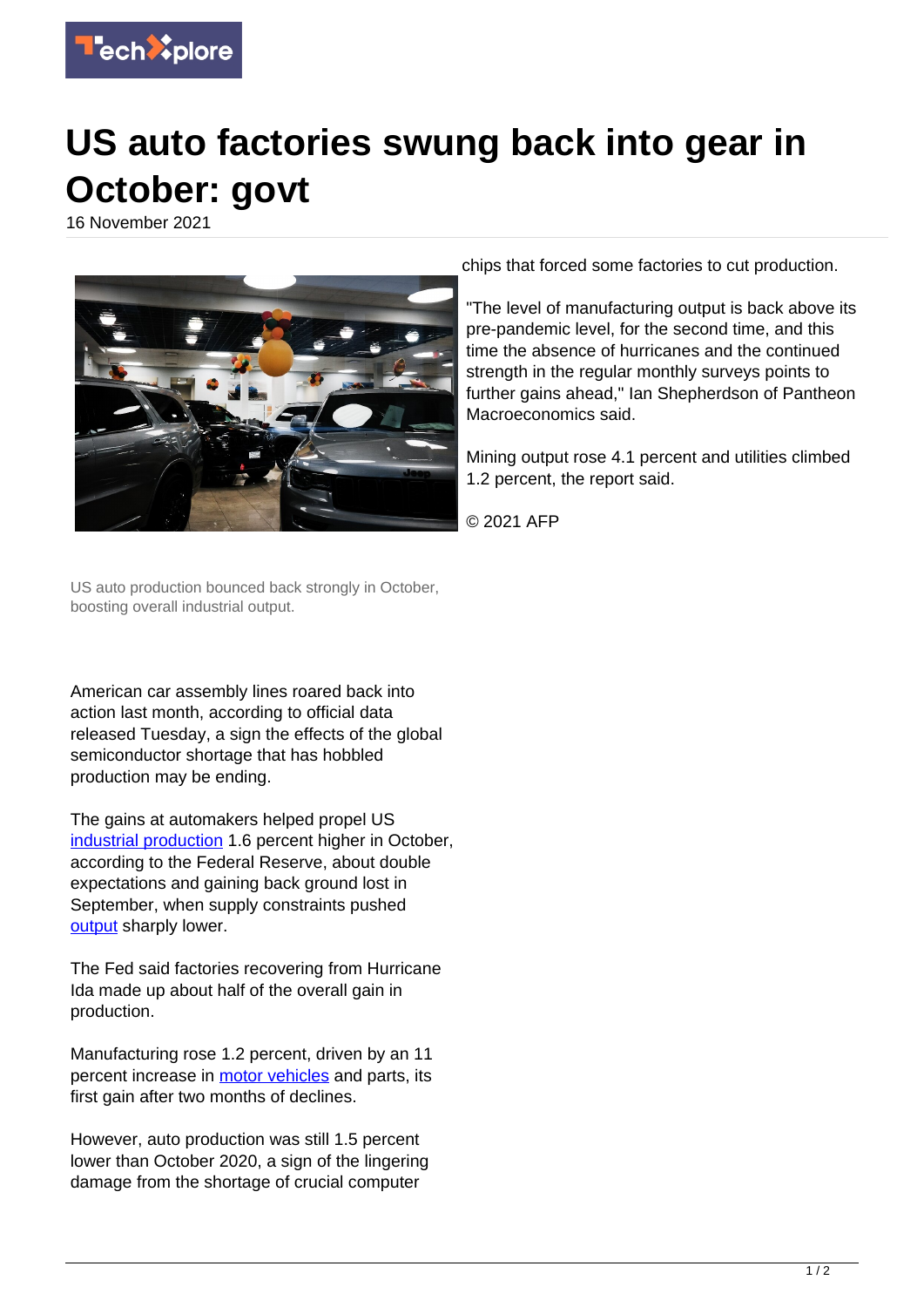

## **US auto factories swung back into gear in October: govt**

16 November 2021



chips that forced some factories to cut production.

"The level of manufacturing output is back above its pre-pandemic level, for the second time, and this time the absence of hurricanes and the continued strength in the regular monthly surveys points to further gains ahead," Ian Shepherdson of Pantheon Macroeconomics said.

Mining output rose 4.1 percent and utilities climbed 1.2 percent, the report said.

© 2021 AFP

US auto production bounced back strongly in October, boosting overall industrial output.

American car assembly lines roared back into action last month, according to official data released Tuesday, a sign the effects of the global semiconductor shortage that has hobbled production may be ending.

The gains at automakers helped propel US [industrial production](https://techxplore.com/tags/industrial+production/) 1.6 percent higher in October, according to the Federal Reserve, about double expectations and gaining back ground lost in September, when supply constraints pushed [output](https://techxplore.com/tags/output/) sharply lower.

The Fed said factories recovering from Hurricane Ida made up about half of the overall gain in production.

Manufacturing rose 1.2 percent, driven by an 11 percent increase in [motor vehicles](https://techxplore.com/tags/motor+vehicles/) and parts, its first gain after two months of declines.

However, auto production was still 1.5 percent lower than October 2020, a sign of the lingering damage from the shortage of crucial computer